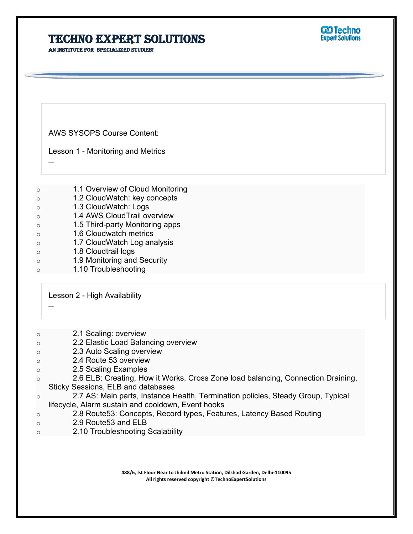**An institute for specialized studies!**

AWS SYSOPS Course Content:

Lesson 1 - Monitoring and Metrics

–

–

- o 1.1 Overview of Cloud Monitoring
- o 1.2 CloudWatch: key concepts
- o 1.3 CloudWatch: Logs
- o 1.4 AWS CloudTrail overview
- o 1.5 Third-party Monitoring apps
- o 1.6 Cloudwatch metrics
- o 1.7 CloudWatch Log analysis
- o 1.8 Cloudtrail logs
- o 1.9 Monitoring and Security
- o 1.10 Troubleshooting

Lesson 2 - High Availability

- o 2.1 Scaling: overview
- o 2.2 Elastic Load Balancing overview
- o 2.3 Auto Scaling overview
- o 2.4 Route 53 overview
- o 2.5 Scaling Examples
- o 2.6 ELB: Creating, How it Works, Cross Zone load balancing, Connection Draining, Sticky Sessions, ELB and databases
- o 2.7 AS: Main parts, Instance Health, Termination policies, Steady Group, Typical lifecycle, Alarm sustain and cooldown, Event hooks
- o 2.8 Route53: Concepts, Record types, Features, Latency Based Routing
- o 2.9 Route53 and ELB
- o 2.10 Troubleshooting Scalability

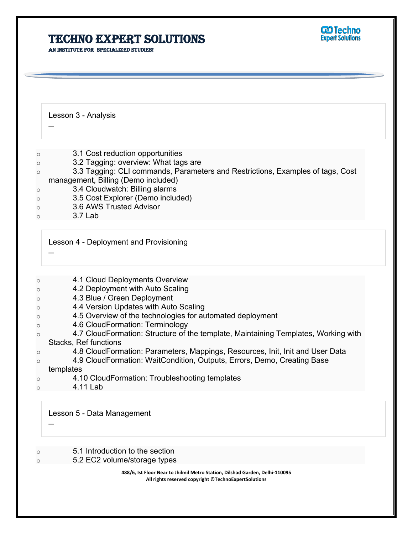**An institute for specialized studies!**

Lesson 3 - Analysis

- o 3.1 Cost reduction opportunities
- o 3.2 Tagging: overview: What tags are
- o 3.3 Tagging: CLI commands, Parameters and Restrictions, Examples of tags, Cost management, Billing (Demo included)
- o 3.4 Cloudwatch: Billing alarms
- o 3.5 Cost Explorer (Demo included)
- o 3.6 AWS Trusted Advisor
- $\circ$  3.7 Lab

Lesson 4 - Deployment and Provisioning

–

–

- o 4.1 Cloud Deployments Overview
- o 4.2 Deployment with Auto Scaling
- o 4.3 Blue / Green Deployment
- o 4.4 Version Updates with Auto Scaling
- o 4.5 Overview of the technologies for automated deployment
- o 4.6 CloudFormation: Terminology
- o 4.7 CloudFormation: Structure of the template, Maintaining Templates, Working with Stacks, Ref functions
- o 4.8 CloudFormation: Parameters, Mappings, Resources, Init, Init and User Data
- o 4.9 CloudFormation: WaitCondition, Outputs, Errors, Demo, Creating Base templates
- o 4.10 CloudFormation: Troubleshooting templates
- $\circ$  4.11 Lab

–

Lesson 5 - Data Management

o 5.1 Introduction to the section

5.2 EC2 volume/storage types

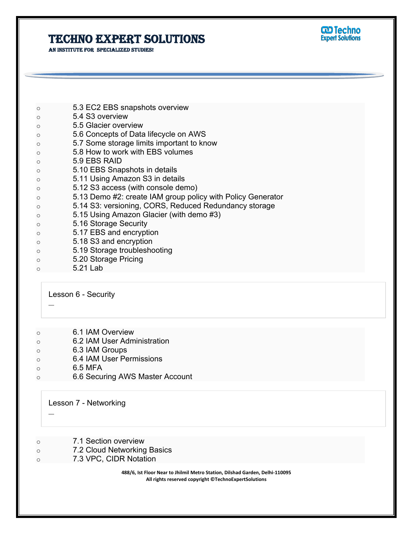**An institute for specialized studies!**



| $\circ$ | 5.3 EC2 EBS snapshots overview                              |
|---------|-------------------------------------------------------------|
| $\circ$ | 5.4 S3 overview                                             |
| $\circ$ | 5.5 Glacier overview                                        |
| $\circ$ | 5.6 Concepts of Data lifecycle on AWS                       |
| $\circ$ | 5.7 Some storage limits important to know                   |
| $\circ$ | 5.8 How to work with EBS volumes                            |
| $\circ$ | 5.9 EBS RAID                                                |
| $\circ$ | 5.10 EBS Snapshots in details                               |
| $\circ$ | 5.11 Using Amazon S3 in details                             |
| $\circ$ | 5.12 S3 access (with console demo)                          |
| $\circ$ | 5.13 Demo #2: create IAM group policy with Policy Generator |
| $\circ$ | 5.14 S3: versioning, CORS, Reduced Redundancy storage       |
| $\circ$ | 5.15 Using Amazon Glacier (with demo #3)                    |
| $\circ$ | 5.16 Storage Security                                       |
| $\circ$ | 5.17 EBS and encryption                                     |
| $\circ$ | 5.18 S3 and encryption                                      |
| $\circ$ | 5.19 Storage troubleshooting                                |
| $\circ$ | 5.20 Storage Pricing                                        |
| $\circ$ | 5.21 Lab                                                    |
|         |                                                             |

Lesson 6 - Security

- o 6.1 IAM Overview
- o 6.2 IAM User Administration
- o 6.3 IAM Groups
- o 6.4 IAM User Permissions
- o 6.5 MFA

–

–

o 6.6 Securing AWS Master Account

Lesson 7 - Networking

- o 7.1 Section overview
- o 7.2 Cloud Networking Basics
- o 7.3 VPC, CIDR Notation